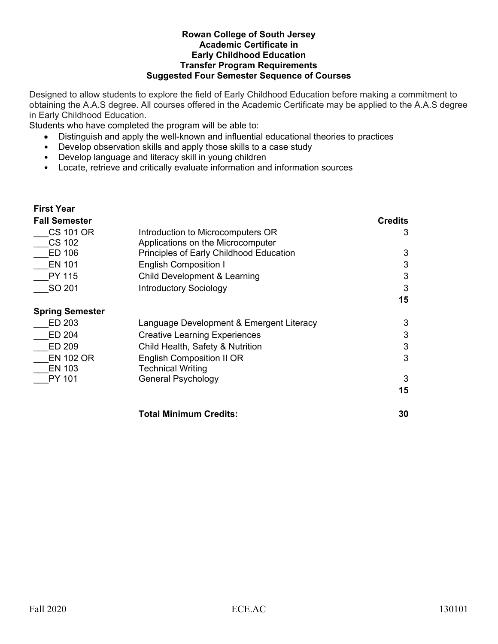## **Rowan College of South Jersey Academic Certificate in** **Early Childhood Education Transfer Program Requirements Suggested Four Semester Sequence of Courses**

Designed to allow students to explore the field of Early Childhood Education before making a commitment to obtaining the A.A.S degree. All courses offered in the Academic Certificate may be applied to the A.A.S degree in Early Childhood Education.

Students who have completed the program will be able to:

- Distinguish and apply the well-known and influential educational theories to practices
- Develop observation skills and apply those skills to a case study
- Develop language and literacy skill in young children
- Locate, retrieve and critically evaluate information and information sources

## **First Year**

| <b>Fall Semester</b>   |                                          | <b>Credits</b> |
|------------------------|------------------------------------------|----------------|
| CS 101 OR              | Introduction to Microcomputers OR        | 3              |
| <b>CS 102</b>          | Applications on the Microcomputer        |                |
| ED 106                 | Principles of Early Childhood Education  | 3              |
| <b>EN 101</b>          | <b>English Composition I</b>             | 3              |
| PY 115                 | Child Development & Learning             | 3              |
| SO 201                 | <b>Introductory Sociology</b>            | 3              |
|                        |                                          | 15             |
| <b>Spring Semester</b> |                                          |                |
| ED 203                 | Language Development & Emergent Literacy | 3              |
| ED 204                 | <b>Creative Learning Experiences</b>     | 3              |
| ED 209                 | Child Health, Safety & Nutrition         | 3              |
| <b>EN 102 OR</b>       | <b>English Composition II OR</b>         | 3              |
| <b>EN 103</b>          | <b>Technical Writing</b>                 |                |
| PY 101                 | General Psychology                       | 3              |
|                        |                                          | 15             |
|                        | <b>Total Minimum Credits:</b>            | 30             |